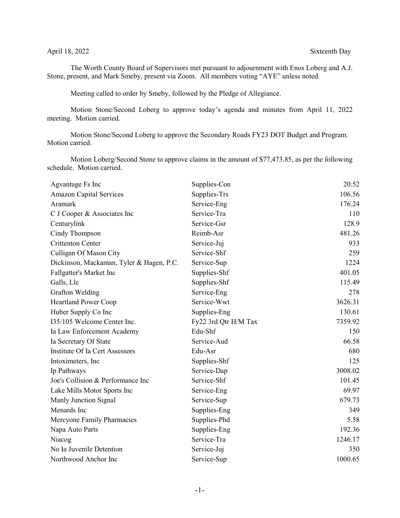## April 18, 2022 Sixteenth Day

The Worth County Board of Supervisors met pursuant to adjournment with Enos Loberg and A.J. Stone, present, and Mark Smeby, present via Zoom. All members voting "AYE" unless noted.

Meeting called to order by Smeby, followed by the Pledge of Allegiance.

Motion Stone/Second Loberg to approve today's agenda and minutes from April 11, 2022 meeting. Motion carried.

Motion Stone/Second Loberg to approve the Secondary Roads FY23 DOT Budget and Program. Motion carried.

Motion Loberg/Second Stone to approve claims in the amount of \$77,473.85, as per the following schedule. Motion carried.

| Agvantage Fs Inc                         | Supplies-Con         | 20.52   |
|------------------------------------------|----------------------|---------|
| <b>Amazon Capital Services</b>           | Supplies-Trs         | 106.56  |
| Aramark                                  | Service-Eng          | 176.24  |
| C J Cooper & Associates Inc              | Service-Tra          | 110     |
| Centurylink                              | Service-Gsr          | 128.9   |
| Cindy Thompson                           | Reimb-Asr            | 481.26  |
| <b>Crittenton Center</b>                 | Service-Juj          | 933     |
| Culligan Of Mason City                   | Service-Shf          | 259     |
| Dickinson, Mackaman, Tyler & Hagen, P.C. | Service-Sup          | 1224    |
| Fallgatter's Market Inc                  | Supplies-Shf         | 401.05  |
| Galls, Llc                               | Supplies-Shf         | 115.49  |
| Grafton Welding                          | Service-Eng          | 278     |
| Heartland Power Coop                     | Service-Wwt          | 3626.31 |
| Huber Supply Co Inc                      | Supplies-Eng         | 130.61  |
| I35/105 Welcome Center Inc.              | Fy22 3rd Qtr H/M Tax | 7359.92 |
| Ia Law Enforcement Academy               | Edu-Shf              | 150     |
| Ia Secretary Of State                    | Service-Aud          | 66.58   |
| Institute Of Ia Cert Assessors           | Edu-Asr              | 680     |
| Intoximeters, Inc.                       | Supplies-Shf         | 125     |
| Ip Pathways                              | Service-Dap          | 3008.02 |
| Joe's Collision & Performance Inc        | Service-Shf          | 101.45  |
| Lake Mills Motor Sports Inc              | Service-Eng          | 69.97   |
| Manly Junction Signal                    | Service-Sup          | 679.73  |
| Menards Inc                              | Supplies-Eng         | 349     |
| Mercyone Family Pharmacies               | Supplies-Phd         | 5.58    |
| Napa Auto Parts                          | Supplies-Eng         | 192.36  |
| Niacog                                   | Service-Tra          | 1246.17 |
| No Ia Juvenile Detention                 | Service-Juj          | 350     |
| Northwood Anchor Inc                     | Service-Sup          | 1000.65 |